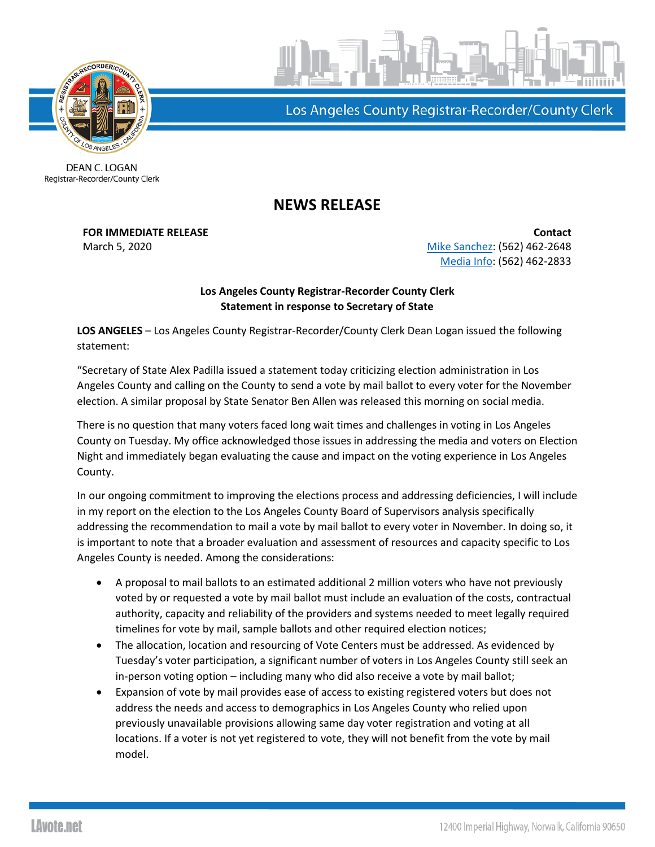

Los Angeles County Registrar-Recorder/County Clerk

DEAN C. LOGAN Registrar-Recorder/County Clerk

## **NEWS RELEASE**

**FOR IMMEDIATE RELEASE Contact** March 5, 2020 **[Mike Sanchez:](mailto:msanchez@rrcc.lacounty.gov)** (562) 462-2648 [Media Info:](mailto:mediainfo@rrcc.lacounty.gov) (562) 462-2833

## **Los Angeles County Registrar-Recorder County Clerk Statement in response to Secretary of State**

**LOS ANGELES** – Los Angeles County Registrar-Recorder/County Clerk Dean Logan issued the following statement:

"Secretary of State Alex Padilla issued a statement today criticizing election administration in Los Angeles County and calling on the County to send a vote by mail ballot to every voter for the November election. A similar proposal by State Senator Ben Allen was released this morning on social media.

There is no question that many voters faced long wait times and challenges in voting in Los Angeles County on Tuesday. My office acknowledged those issues in addressing the media and voters on Election Night and immediately began evaluating the cause and impact on the voting experience in Los Angeles County.

In our ongoing commitment to improving the elections process and addressing deficiencies, I will include in my report on the election to the Los Angeles County Board of Supervisors analysis specifically addressing the recommendation to mail a vote by mail ballot to every voter in November. In doing so, it is important to note that a broader evaluation and assessment of resources and capacity specific to Los Angeles County is needed. Among the considerations:

- A proposal to mail ballots to an estimated additional 2 million voters who have not previously voted by or requested a vote by mail ballot must include an evaluation of the costs, contractual authority, capacity and reliability of the providers and systems needed to meet legally required timelines for vote by mail, sample ballots and other required election notices;
- The allocation, location and resourcing of Vote Centers must be addressed. As evidenced by Tuesday's voter participation, a significant number of voters in Los Angeles County still seek an in-person voting option – including many who did also receive a vote by mail ballot;
- Expansion of vote by mail provides ease of access to existing registered voters but does not address the needs and access to demographics in Los Angeles County who relied upon previously unavailable provisions allowing same day voter registration and voting at all locations. If a voter is not yet registered to vote, they will not benefit from the vote by mail model.